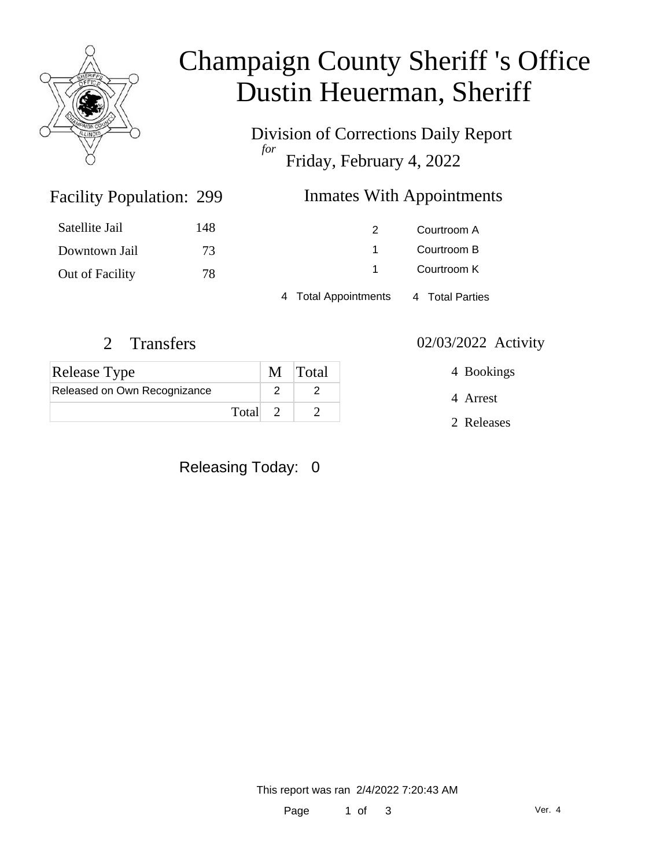

# Champaign County Sheriff 's Office Dustin Heuerman, Sheriff

Division of Corrections Daily Report *for* Friday, February 4, 2022

#### Inmates With Appointments

| Satellite Jail  | 148 | 2                    | Courtroom A     |  |
|-----------------|-----|----------------------|-----------------|--|
| Downtown Jail   | 73  |                      | Courtroom B     |  |
| Out of Facility | 78  |                      | Courtroom K     |  |
|                 |     | 4 Total Appointments | 4 Total Parties |  |

Facility Population: 299

| <b>Release Type</b>          | M Total |
|------------------------------|---------|
| Released on Own Recognizance |         |
| Total                        |         |

Releasing Today: 0

#### 2 Transfers 02/03/2022 Activity

4 Bookings

4 Arrest

2 Releases

This report was ran 2/4/2022 7:20:43 AM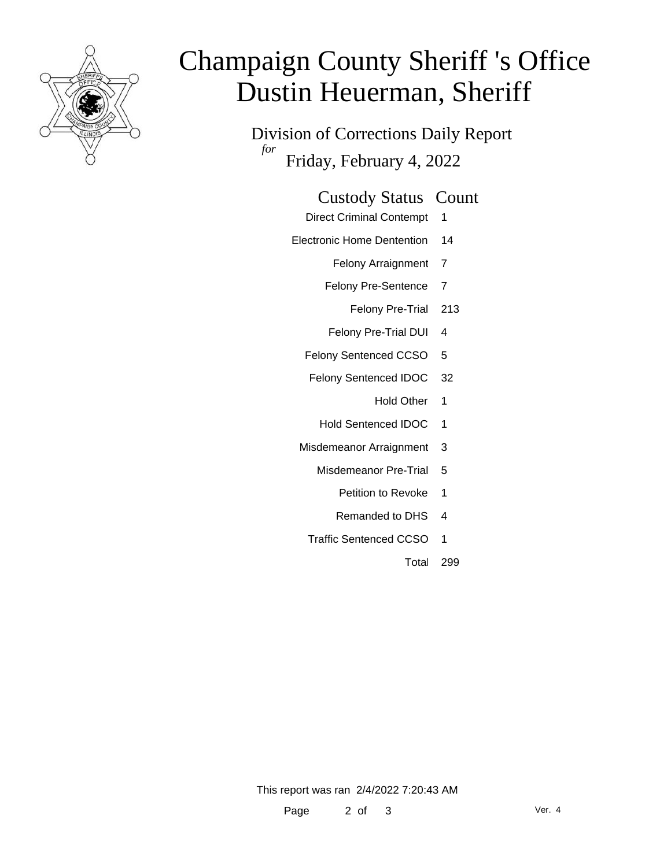

# Champaign County Sheriff 's Office Dustin Heuerman, Sheriff

Division of Corrections Daily Report *for* Friday, February 4, 2022

| <b>Custody Status Count</b> |  |
|-----------------------------|--|
|-----------------------------|--|

- Direct Criminal Contempt 1
- Electronic Home Dentention 14
	- Felony Arraignment 7
	- Felony Pre-Sentence 7
		- Felony Pre-Trial 213
	- Felony Pre-Trial DUI 4
	- Felony Sentenced CCSO 5
	- Felony Sentenced IDOC 32
		- Hold Other 1
		- Hold Sentenced IDOC 1
	- Misdemeanor Arraignment 3
		- Misdemeanor Pre-Trial 5
			- Petition to Revoke 1
			- Remanded to DHS 4
		- Traffic Sentenced CCSO 1
			- Total 299

This report was ran 2/4/2022 7:20:43 AM